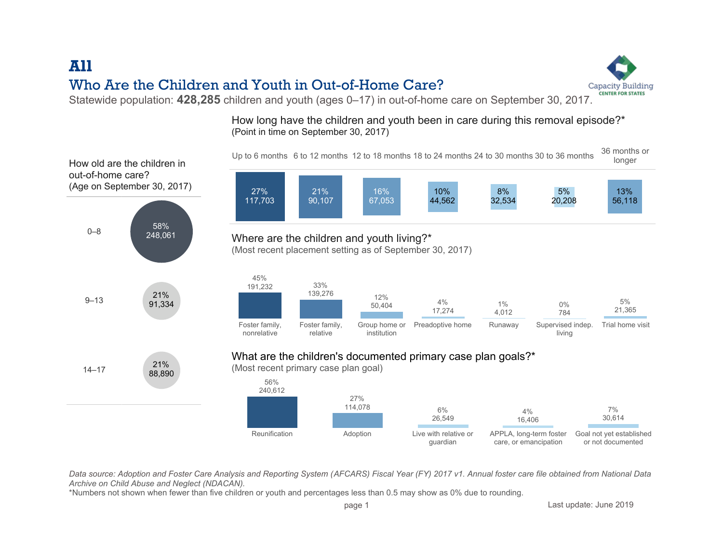## All Who Are the Children and Youth in Out-of-Home Care?

Statewide population: 428,285 children and youth (ages 0–17) in out-of-home care on September 30, 2017.

How long have the children and youth been in care during this removal episode?\* (Point in time on September 30, 2017)



Data source: Adoption and Foster Care Analysis and Reporting System (AFCARS) Fiscal Year (FY) 2017 v1. Annual foster care file obtained from National Data Archive on Child Abuse and Neglect (NDACAN).

\*Numbers not shown when fewer than five children or youth and percentages less than 0.5 may show as 0% due to rounding.

page 1 Last update: June 2019

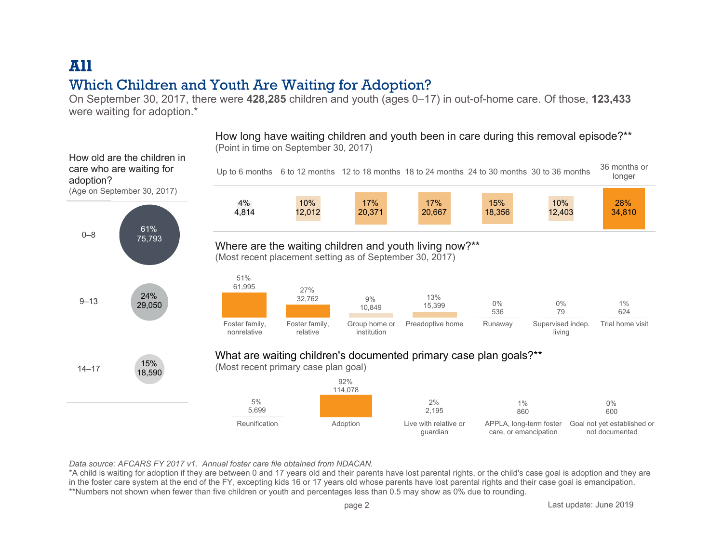# All Which Children and Youth Are Waiting for Adoption?

On September 30, 2017, there were 428,285 children and youth (ages 0–17) in out-of-home care. Of those, 123,433 were waiting for adoption.\*

Up to 6 months 6 to 12 months 12 to 18 months 18 to 24 months 24 to 30 months 30 to 36 months 36 months or longer 28% 34,810 10% 12,403 15% 18,356 17% 20,667 17% 20,371 10% 12,012 4% 4,814 Foster family. nonrelative Foster family. relative Group home or institution Preadoptive home Runaway Supervised indep. living Trial home visit 51% 61,995 27% 32,762 9% 10,849 13% 15,399 0% 536 1% 624 0% 79 Where are the waiting children and youth living now?\*\* (Most recent placement setting as of September 30, 2017) Reunification **Adoption** Adoption Live with relative or guardian APPLA, long-term foster care, or emancipation Goal not vet established or not documented 0% 600 1% 860 2% 2,195 92% 114,078 5% 5,699 What are waiting children's documented primary case plan goals?\*\* (Most recent primary case plan goal) 0–8 9–13 14–17 15% 18,590 24% 29,050 61% 75,793 How old are the children in care who are waiting for adoption? (Age on September 30, 2017)

How long have waiting children and youth been in care during this removal episode?\*\* (Point in time on September 30, 2017)

Data source: AFCARS FY 2017 v1. Annual foster care file obtained from NDACAN.

\*A child is waiting for adoption if they are between 0 and 17 years old and their parents have lost parental rights, or the child's case goal is adoption and they are in the foster care system at the end of the FY, excepting kids 16 or 17 years old whose parents have lost parental rights and their case goal is emancipation. \*\*Numbers not shown when fewer than five children or youth and percentages less than 0.5 may show as 0% due to rounding.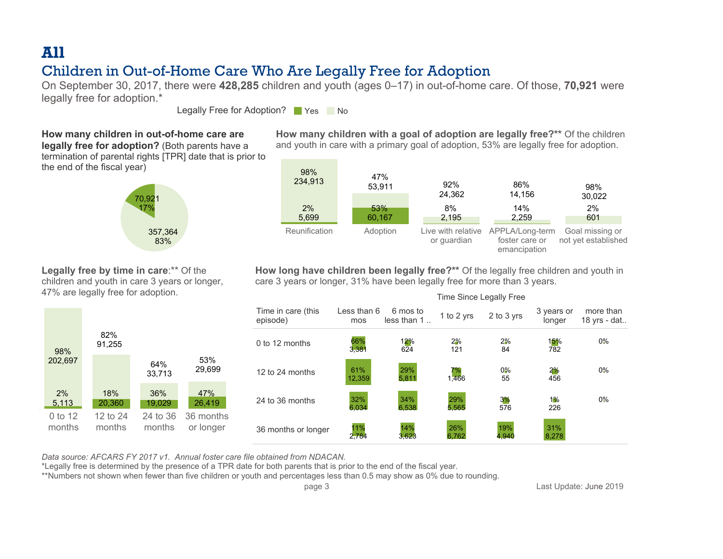# All

### Children in Out-of-Home Care Who Are Legally Free for Adoption

On September 30, 2017, there were 428,285 children and youth (ages 0–17) in out-of-home care. Of those, 70,921 were legally free for adoption.\*

Legally Free for Adoption? Nes No

#### How many children in out-of-home care are

**legally free for adoption?** (Both parents have a termination of parental rights [TPR] date that is prior to the end of the fiscal year)



How many children with a goal of adoption are legally free?\*\* Of the children and youth in care with a primary goal of adoption, 53% are legally free for adoption.



Legally free by time in care:\*\* Of the children and youth in care 3 years or longer, 47% are legally free for adoption.

0 to 12 months 12 to 24 months 24 to 36 months 36 months or longer 53% 29,699 64% 33,713 82% 91,255 98% 202,697 18% 20,360 36% 19,029 47% 26,419 2% 5,113

How long have children been legally free?\*\* Of the legally free children and youth in care 3 years or longer, 31% have been legally free for more than 3 years.

|                                | Time Since Legally Free |                         |              |              |                      |                           |  |
|--------------------------------|-------------------------|-------------------------|--------------|--------------|----------------------|---------------------------|--|
| Time in care (this<br>episode) | Less than 6<br>mos      | 6 mos to<br>less than 1 | 1 to 2 yrs   | 2 to 3 yrs   | 3 years or<br>longer | more than<br>18 yrs - dat |  |
| 0 to 12 months                 | 66%<br>3,381            | 12%<br>624              | 2%<br>121    | 2%<br>84     | 15%<br>782           | $0\%$                     |  |
| 12 to 24 months                | 61%<br>12,359           | 29%<br>5,811            | 7%<br>1.466  | $0\%$<br>55  | 2%<br>456            | $0\%$                     |  |
| 24 to 36 months                | 32%<br>6,034            | 34%<br>6.538            | 29%<br>5,565 | 3%<br>576    | 1%<br>226            | $0\%$                     |  |
| 36 months or longer            | 11%<br>2.784            | 14%<br>3.623            | 26%<br>6,762 | 19%<br>4.940 | 31%<br>8,278         |                           |  |

Data source: AFCARS FY 2017 v1. Annual foster care file obtained from NDACAN.

\*Legally free is determined by the presence of a TPR date for both parents that is prior to the end of the fiscal year.

\*\*Numbers not shown when fewer than five children or youth and percentages less than 0.5 may show as 0% due to rounding.